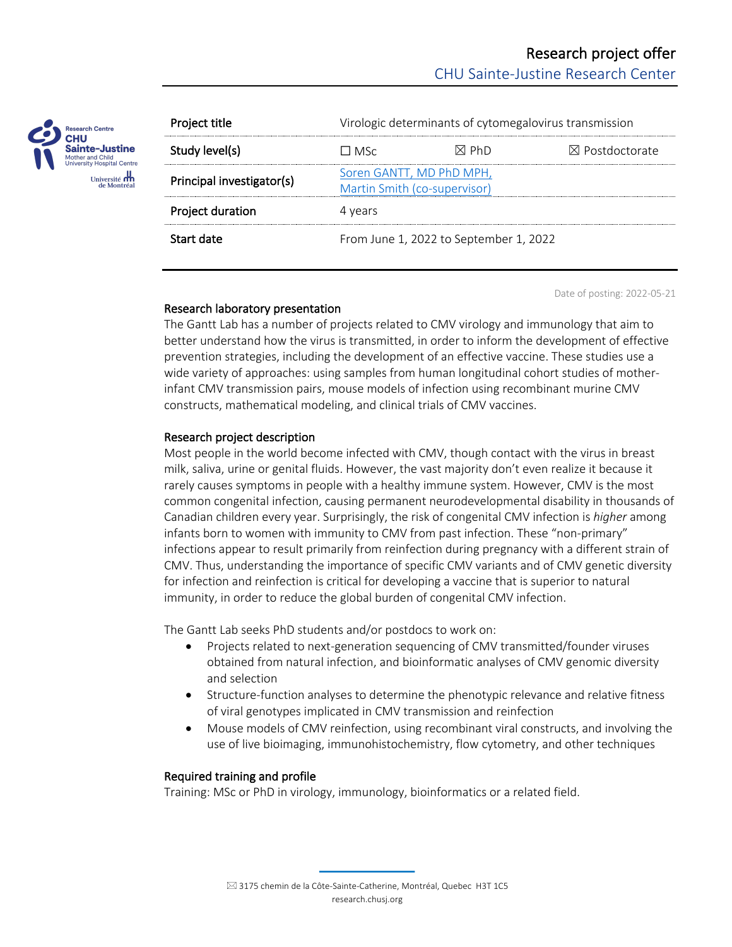

| Project title             | Virologic determinants of cytomegalovirus transmission   |       |                           |
|---------------------------|----------------------------------------------------------|-------|---------------------------|
| Study level(s)            | l I MSc                                                  | ⊠ Ph∩ | $\boxtimes$ Postdoctorate |
| Principal investigator(s) | Soren GANTT, MD PhD MPH,<br>Martin Smith (co-supervisor) |       |                           |
| Project duration          | 4 years                                                  |       |                           |
| Start date                | From June 1, 2022 to September 1, 2022                   |       |                           |

Date of posting: 2022-05-21

# Research laboratory presentation

The Gantt Lab has a number of projects related to CMV virology and immunology that aim to better understand how the virus is transmitted, in order to inform the development of effective prevention strategies, including the development of an effective vaccine. These studies use a wide variety of approaches: using samples from human longitudinal cohort studies of motherinfant CMV transmission pairs, mouse models of infection using recombinant murine CMV constructs, mathematical modeling, and clinical trials of CMV vaccines.

# Research project description

Most people in the world become infected with CMV, though contact with the virus in breast milk, saliva, urine or genital fluids. However, the vast majority don't even realize it because it rarely causes symptoms in people with a healthy immune system. However, CMV is the most common congenital infection, causing permanent neurodevelopmental disability in thousands of Canadian children every year. Surprisingly, the risk of congenital CMV infection is *higher* among infants born to women with immunity to CMV from past infection. These "non-primary" infections appear to result primarily from reinfection during pregnancy with a different strain of CMV. Thus, understanding the importance of specific CMV variants and of CMV genetic diversity for infection and reinfection is critical for developing a vaccine that is superior to natural immunity, in order to reduce the global burden of congenital CMV infection.

The Gantt Lab seeks PhD students and/or postdocs to work on:

- Projects related to next-generation sequencing of CMV transmitted/founder viruses obtained from natural infection, and bioinformatic analyses of CMV genomic diversity and selection
- Structure-function analyses to determine the phenotypic relevance and relative fitness of viral genotypes implicated in CMV transmission and reinfection
- Mouse models of CMV reinfection, using recombinant viral constructs, and involving the use of live bioimaging, immunohistochemistry, flow cytometry, and other techniques

# Required training and profile

Training: MSc or PhD in virology, immunology, bioinformatics or a related field.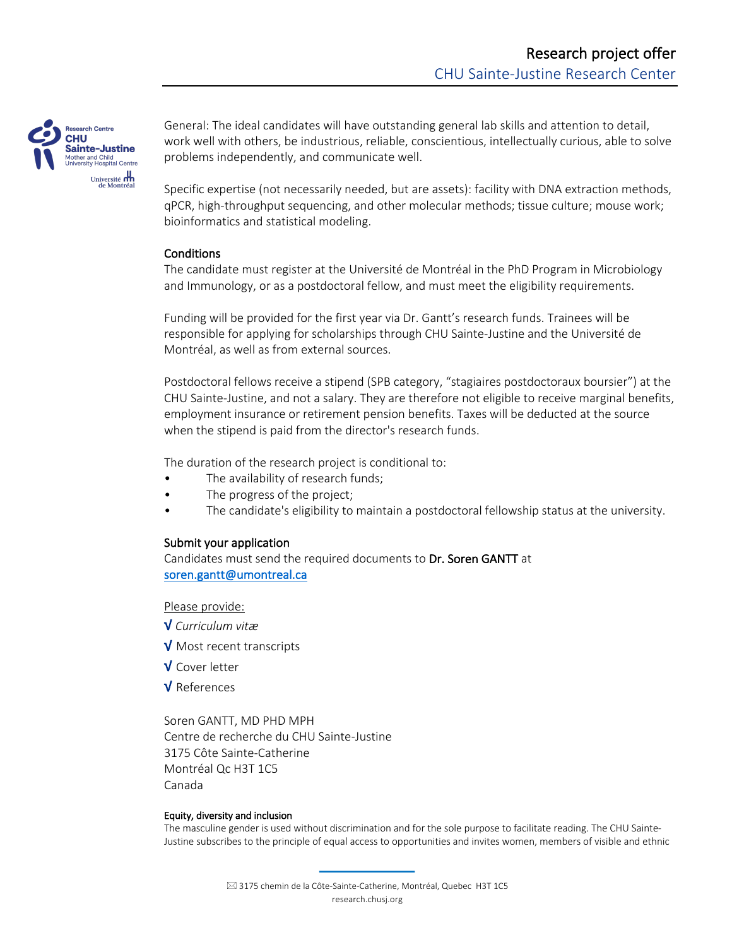

General: The ideal candidates will have outstanding general lab skills and attention to detail, work well with others, be industrious, reliable, conscientious, intellectually curious, able to solve problems independently, and communicate well.

Specific expertise (not necessarily needed, but are assets): facility with DNA extraction methods, qPCR, high-throughput sequencing, and other molecular methods; tissue culture; mouse work; bioinformatics and statistical modeling.

## **Conditions**

The candidate must register at the Université de Montréal in the PhD Program in Microbiology and Immunology, or as a postdoctoral fellow, and must meet the eligibility requirements.

Funding will be provided for the first year via Dr. Gantt's research funds. Trainees will be responsible for applying for scholarships through CHU Sainte-Justine and the Université de Montréal, as well as from external sources.

Postdoctoral fellows receive a stipend (SPB category, "stagiaires postdoctoraux boursier") at the CHU Sainte-Justine, and not a salary. They are therefore not eligible to receive marginal benefits, employment insurance or retirement pension benefits. Taxes will be deducted at the source when the stipend is paid from the director's research funds.

The duration of the research project is conditional to:

- The availability of research funds;
- The progress of the project;
- The candidate's eligibility to maintain a postdoctoral fellowship status at the university.

### Submit your application

Candidates must send the required documents to Dr. Soren GANTT at soren.gantt@umontreal.ca

Please provide:

√ *Curriculum vitæ*

√ Most recent transcripts

√ Cover letter

√ References

Soren GANTT, MD PHD MPH Centre de recherche du CHU Sainte-Justine 3175 Côte Sainte-Catherine Montréal Qc H3T 1C5 Canada

### Equity, diversity and inclusion

The masculine gender is used without discrimination and for the sole purpose to facilitate reading. The CHU Sainte-Justine subscribes to the principle of equal access to opportunities and invites women, members of visible and ethnic